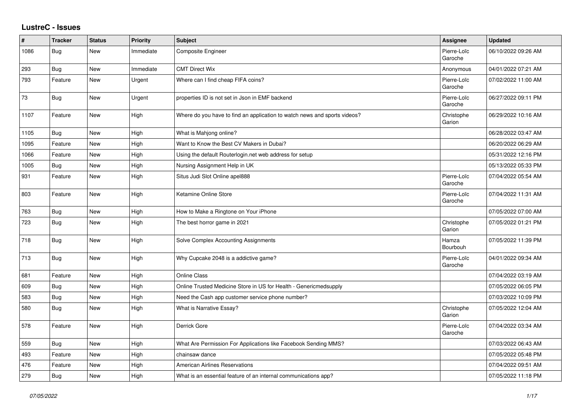## **LustreC - Issues**

| #    | <b>Tracker</b> | <b>Status</b> | <b>Priority</b> | <b>Subject</b>                                                            | Assignee               | <b>Updated</b>      |
|------|----------------|---------------|-----------------|---------------------------------------------------------------------------|------------------------|---------------------|
| 1086 | Bug            | New           | Immediate       | Composite Engineer                                                        | Pierre-Loïc<br>Garoche | 06/10/2022 09:26 AM |
| 293  | Bug            | New           | Immediate       | <b>CMT Direct Wix</b>                                                     | Anonymous              | 04/01/2022 07:21 AM |
| 793  | Feature        | New           | Urgent          | Where can I find cheap FIFA coins?                                        | Pierre-Loïc<br>Garoche | 07/02/2022 11:00 AM |
| 73   | Bug            | New           | Urgent          | properties ID is not set in Json in EMF backend                           | Pierre-Loïc<br>Garoche | 06/27/2022 09:11 PM |
| 1107 | Feature        | New           | High            | Where do you have to find an application to watch news and sports videos? | Christophe<br>Garion   | 06/29/2022 10:16 AM |
| 1105 | Bug            | <b>New</b>    | High            | What is Mahjong online?                                                   |                        | 06/28/2022 03:47 AM |
| 1095 | Feature        | New           | High            | Want to Know the Best CV Makers in Dubai?                                 |                        | 06/20/2022 06:29 AM |
| 1066 | Feature        | New           | High            | Using the default Routerlogin.net web address for setup                   |                        | 05/31/2022 12:16 PM |
| 1005 | Bug            | New           | High            | Nursing Assignment Help in UK                                             |                        | 05/13/2022 05:33 PM |
| 931  | Feature        | New           | High            | Situs Judi Slot Online apel888                                            | Pierre-Loïc<br>Garoche | 07/04/2022 05:54 AM |
| 803  | Feature        | New           | High            | Ketamine Online Store                                                     | Pierre-Loïc<br>Garoche | 07/04/2022 11:31 AM |
| 763  | Bug            | New           | High            | How to Make a Ringtone on Your iPhone                                     |                        | 07/05/2022 07:00 AM |
| 723  | Bug            | New           | High            | The best horror game in 2021                                              | Christophe<br>Garion   | 07/05/2022 01:21 PM |
| 718  | <b>Bug</b>     | <b>New</b>    | High            | Solve Complex Accounting Assignments                                      | Hamza<br>Bourbouh      | 07/05/2022 11:39 PM |
| 713  | Bug            | New           | High            | Why Cupcake 2048 is a addictive game?                                     | Pierre-Loïc<br>Garoche | 04/01/2022 09:34 AM |
| 681  | Feature        | New           | High            | <b>Online Class</b>                                                       |                        | 07/04/2022 03:19 AM |
| 609  | Bug            | New           | High            | Online Trusted Medicine Store in US for Health - Genericmedsupply         |                        | 07/05/2022 06:05 PM |
| 583  | Bug            | New           | High            | Need the Cash app customer service phone number?                          |                        | 07/03/2022 10:09 PM |
| 580  | Bug            | New           | High            | What is Narrative Essay?                                                  | Christophe<br>Garion   | 07/05/2022 12:04 AM |
| 578  | Feature        | New           | High            | Derrick Gore                                                              | Pierre-Loïc<br>Garoche | 07/04/2022 03:34 AM |
| 559  | Bug            | New           | High            | What Are Permission For Applications like Facebook Sending MMS?           |                        | 07/03/2022 06:43 AM |
| 493  | Feature        | <b>New</b>    | High            | chainsaw dance                                                            |                        | 07/05/2022 05:48 PM |
| 476  | Feature        | New           | High            | <b>American Airlines Reservations</b>                                     |                        | 07/04/2022 09:51 AM |
| 279  | Bug            | New           | High            | What is an essential feature of an internal communications app?           |                        | 07/05/2022 11:18 PM |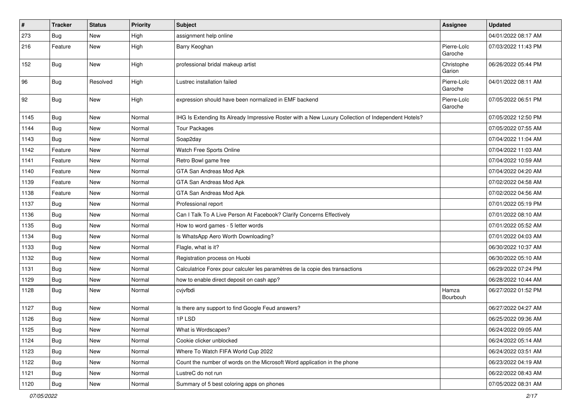| $\pmb{\#}$ | <b>Tracker</b> | <b>Status</b> | <b>Priority</b> | Subject                                                                                            | Assignee               | <b>Updated</b>      |
|------------|----------------|---------------|-----------------|----------------------------------------------------------------------------------------------------|------------------------|---------------------|
| 273        | <b>Bug</b>     | New           | High            | assignment help online                                                                             |                        | 04/01/2022 08:17 AM |
| 216        | Feature        | New           | High            | Barry Keoghan                                                                                      | Pierre-Loïc<br>Garoche | 07/03/2022 11:43 PM |
| 152        | Bug            | New           | High            | professional bridal makeup artist                                                                  | Christophe<br>Garion   | 06/26/2022 05:44 PM |
| 96         | Bug            | Resolved      | High            | Lustrec installation failed                                                                        | Pierre-Loïc<br>Garoche | 04/01/2022 08:11 AM |
| 92         | <b>Bug</b>     | New           | High            | expression should have been normalized in EMF backend                                              | Pierre-Loïc<br>Garoche | 07/05/2022 06:51 PM |
| 1145       | <b>Bug</b>     | New           | Normal          | IHG Is Extending Its Already Impressive Roster with a New Luxury Collection of Independent Hotels? |                        | 07/05/2022 12:50 PM |
| 1144       | Bug            | New           | Normal          | <b>Tour Packages</b>                                                                               |                        | 07/05/2022 07:55 AM |
| 1143       | <b>Bug</b>     | New           | Normal          | Soap2day                                                                                           |                        | 07/04/2022 11:04 AM |
| 1142       | Feature        | New           | Normal          | Watch Free Sports Online                                                                           |                        | 07/04/2022 11:03 AM |
| 1141       | Feature        | New           | Normal          | Retro Bowl game free                                                                               |                        | 07/04/2022 10:59 AM |
| 1140       | Feature        | New           | Normal          | GTA San Andreas Mod Apk                                                                            |                        | 07/04/2022 04:20 AM |
| 1139       | Feature        | New           | Normal          | GTA San Andreas Mod Apk                                                                            |                        | 07/02/2022 04:58 AM |
| 1138       | Feature        | New           | Normal          | GTA San Andreas Mod Apk                                                                            |                        | 07/02/2022 04:56 AM |
| 1137       | Bug            | New           | Normal          | Professional report                                                                                |                        | 07/01/2022 05:19 PM |
| 1136       | <b>Bug</b>     | New           | Normal          | Can I Talk To A Live Person At Facebook? Clarify Concerns Effectively                              |                        | 07/01/2022 08:10 AM |
| 1135       | Bug            | New           | Normal          | How to word games - 5 letter words                                                                 |                        | 07/01/2022 05:52 AM |
| 1134       | <b>Bug</b>     | New           | Normal          | Is WhatsApp Aero Worth Downloading?                                                                |                        | 07/01/2022 04:03 AM |
| 1133       | <b>Bug</b>     | New           | Normal          | Flagle, what is it?                                                                                |                        | 06/30/2022 10:37 AM |
| 1132       | Bug            | New           | Normal          | Registration process on Huobi                                                                      |                        | 06/30/2022 05:10 AM |
| 1131       | Bug            | New           | Normal          | Calculatrice Forex pour calculer les paramètres de la copie des transactions                       |                        | 06/29/2022 07:24 PM |
| 1129       | <b>Bug</b>     | New           | Normal          | how to enable direct deposit on cash app?                                                          |                        | 06/28/2022 10:44 AM |
| 1128       | <b>Bug</b>     | New           | Normal          | cvjvfbdi                                                                                           | Hamza<br>Bourbouh      | 06/27/2022 01:52 PM |
| 1127       | Bug            | New           | Normal          | Is there any support to find Google Feud answers?                                                  |                        | 06/27/2022 04:27 AM |
| 1126       | Bug            | New           | Normal          | 1PLSD                                                                                              |                        | 06/25/2022 09:36 AM |
| 1125       | <b>Bug</b>     | New           | Normal          | What is Wordscapes?                                                                                |                        | 06/24/2022 09:05 AM |
| 1124       | Bug            | New           | Normal          | Cookie clicker unblocked                                                                           |                        | 06/24/2022 05:14 AM |
| 1123       | <b>Bug</b>     | New           | Normal          | Where To Watch FIFA World Cup 2022                                                                 |                        | 06/24/2022 03:51 AM |
| 1122       | <b>Bug</b>     | New           | Normal          | Count the number of words on the Microsoft Word application in the phone                           |                        | 06/23/2022 04:19 AM |
| 1121       | <b>Bug</b>     | New           | Normal          | LustreC do not run                                                                                 |                        | 06/22/2022 08:43 AM |
| 1120       | <b>Bug</b>     | New           | Normal          | Summary of 5 best coloring apps on phones                                                          |                        | 07/05/2022 08:31 AM |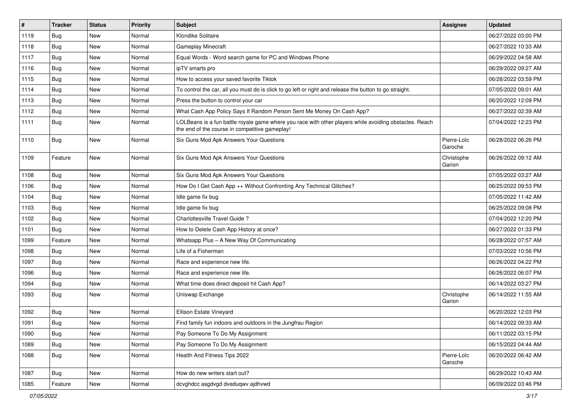| $\sharp$ | <b>Tracker</b> | <b>Status</b> | Priority | Subject                                                                                                                                                  | Assignee               | <b>Updated</b>      |
|----------|----------------|---------------|----------|----------------------------------------------------------------------------------------------------------------------------------------------------------|------------------------|---------------------|
| 1119     | <b>Bug</b>     | New           | Normal   | Klondike Solitaire                                                                                                                                       |                        | 06/27/2022 03:00 PM |
| 1118     | Bug            | <b>New</b>    | Normal   | <b>Gameplay Minecraft</b>                                                                                                                                |                        | 06/27/2022 10:33 AM |
| 1117     | Bug            | New           | Normal   | Equal Words - Word search game for PC and Windows Phone                                                                                                  |                        | 06/29/2022 04:58 AM |
| 1116     | Bug            | New           | Normal   | ipTV smarts pro                                                                                                                                          |                        | 06/29/2022 09:27 AM |
| 1115     | Bug            | New           | Normal   | How to access your saved favorite Tiktok                                                                                                                 |                        | 06/28/2022 03:59 PM |
| 1114     | Bug            | New           | Normal   | To control the car, all you must do is click to go left or right and release the button to go straight.                                                  |                        | 07/05/2022 09:01 AM |
| 1113     | Bug            | New           | Normal   | Press the button to control your car                                                                                                                     |                        | 06/20/2022 12:09 PM |
| 1112     | Bug            | New           | Normal   | What Cash App Policy Says If Random Person Sent Me Money On Cash App?                                                                                    |                        | 06/27/2022 02:39 AM |
| 1111     | Bug            | New           | Normal   | LOLBeans is a fun battle royale game where you race with other players while avoiding obstacles. Reach<br>the end of the course in competitive gameplay! |                        | 07/04/2022 12:23 PM |
| 1110     | Bug            | New           | Normal   | Six Guns Mod Apk Answers Your Questions                                                                                                                  | Pierre-Loïc<br>Garoche | 06/28/2022 06:26 PM |
| 1109     | Feature        | <b>New</b>    | Normal   | Six Guns Mod Apk Answers Your Questions                                                                                                                  | Christophe<br>Garion   | 06/26/2022 09:12 AM |
| 1108     | Bug            | New           | Normal   | Six Guns Mod Apk Answers Your Questions                                                                                                                  |                        | 07/05/2022 03:27 AM |
| 1106     | Bug            | New           | Normal   | How Do I Get Cash App ++ Without Confronting Any Technical Glitches?                                                                                     |                        | 06/25/2022 09:53 PM |
| 1104     | Bug            | New           | Normal   | Idle game fix bug                                                                                                                                        |                        | 07/05/2022 11:42 AM |
| 1103     | Bug            | New           | Normal   | Idle game fix bug                                                                                                                                        |                        | 06/25/2022 09:08 PM |
| 1102     | Bug            | New           | Normal   | Charlottesville Travel Guide ?                                                                                                                           |                        | 07/04/2022 12:20 PM |
| 1101     | Bug            | New           | Normal   | How to Delete Cash App History at once?                                                                                                                  |                        | 06/27/2022 01:33 PM |
| 1099     | Feature        | <b>New</b>    | Normal   | Whatsapp Plus - A New Way Of Communicating                                                                                                               |                        | 06/28/2022 07:57 AM |
| 1098     | Bug            | New           | Normal   | Life of a Fisherman                                                                                                                                      |                        | 07/03/2022 10:56 PM |
| 1097     | <b>Bug</b>     | <b>New</b>    | Normal   | Race and experience new life.                                                                                                                            |                        | 06/26/2022 04:22 PM |
| 1096     | Bug            | New           | Normal   | Race and experience new life.                                                                                                                            |                        | 06/26/2022 06:07 PM |
| 1094     | Bug            | New           | Normal   | What time does direct deposit hit Cash App?                                                                                                              |                        | 06/14/2022 03:27 PM |
| 1093     | Bug            | New           | Normal   | Uniswap Exchange                                                                                                                                         | Christophe<br>Garion   | 06/14/2022 11:55 AM |
| 1092     | Bug            | New           | Normal   | Ellison Estate Vineyard                                                                                                                                  |                        | 06/20/2022 12:03 PM |
| 1091     | Bug            | New           | Normal   | Find family fun indoors and outdoors in the Jungfrau Region                                                                                              |                        | 06/14/2022 09:33 AM |
| 1090     | <b>Bug</b>     | New           | Normal   | Pay Someone To Do My Assignment                                                                                                                          |                        | 06/11/2022 03:15 PM |
| 1089     | <b>Bug</b>     | New           | Normal   | Pay Someone To Do My Assignment                                                                                                                          |                        | 06/15/2022 04:44 AM |
| 1088     | <b>Bug</b>     | New           | Normal   | Health And Fitness Tips 2022                                                                                                                             | Pierre-Loïc<br>Garoche | 06/20/2022 06:42 AM |
| 1087     | <b>Bug</b>     | New           | Normal   | How do new writers start out?                                                                                                                            |                        | 06/29/2022 10:43 AM |
| 1085     | Feature        | New           | Normal   | dcvghdcc asgdvgd dveduqwv ajdhvwd                                                                                                                        |                        | 06/09/2022 03:46 PM |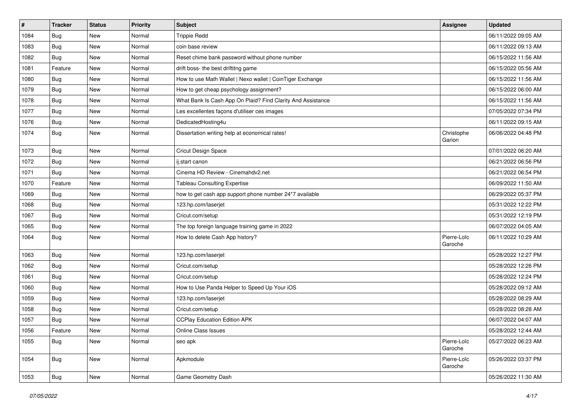| $\#$ | <b>Tracker</b> | <b>Status</b> | <b>Priority</b> | <b>Subject</b>                                              | <b>Assignee</b>        | <b>Updated</b>      |
|------|----------------|---------------|-----------------|-------------------------------------------------------------|------------------------|---------------------|
| 1084 | <b>Bug</b>     | New           | Normal          | <b>Trippie Redd</b>                                         |                        | 06/11/2022 09:05 AM |
| 1083 | Bug            | New           | Normal          | coin base review                                            |                        | 06/11/2022 09:13 AM |
| 1082 | Bug            | New           | Normal          | Reset chime bank password without phone number              |                        | 06/15/2022 11:56 AM |
| 1081 | Feature        | New           | Normal          | drift boss- the best driftitng game                         |                        | 06/15/2022 05:56 AM |
| 1080 | <b>Bug</b>     | New           | Normal          | How to use Math Wallet   Nexo wallet   CoinTiger Exchange   |                        | 06/15/2022 11:56 AM |
| 1079 | <b>Bug</b>     | New           | Normal          | How to get cheap psychology assignment?                     |                        | 06/15/2022 06:00 AM |
| 1078 | Bug            | New           | Normal          | What Bank Is Cash App On Plaid? Find Clarity And Assistance |                        | 06/15/2022 11:56 AM |
| 1077 | <b>Bug</b>     | New           | Normal          | Les excellentes façons d'utiliser ces images                |                        | 07/05/2022 07:34 PM |
| 1076 | Bug            | New           | Normal          | DedicatedHosting4u                                          |                        | 06/11/2022 09:15 AM |
| 1074 | Bug            | New           | Normal          | Dissertation writing help at economical rates!              | Christophe<br>Garion   | 06/06/2022 04:48 PM |
| 1073 | Bug            | New           | Normal          | Cricut Design Space                                         |                        | 07/01/2022 06:20 AM |
| 1072 | <b>Bug</b>     | New           | Normal          | ij.start canon                                              |                        | 06/21/2022 06:56 PM |
| 1071 | Bug            | New           | Normal          | Cinema HD Review - Cinemahdv2.net                           |                        | 06/21/2022 06:54 PM |
| 1070 | Feature        | New           | Normal          | <b>Tableau Consulting Expertise</b>                         |                        | 06/09/2022 11:50 AM |
| 1069 | <b>Bug</b>     | New           | Normal          | how to get cash app support phone number 24*7 available     |                        | 06/29/2022 05:37 PM |
| 1068 | Bug            | New           | Normal          | 123.hp.com/laserjet                                         |                        | 05/31/2022 12:22 PM |
| 1067 | Bug            | New           | Normal          | Cricut.com/setup                                            |                        | 05/31/2022 12:19 PM |
| 1065 | <b>Bug</b>     | New           | Normal          | The top foreign language training game in 2022              |                        | 06/07/2022 04:05 AM |
| 1064 | <b>Bug</b>     | New           | Normal          | How to delete Cash App history?                             | Pierre-Loïc<br>Garoche | 06/11/2022 10:29 AM |
| 1063 | Bug            | <b>New</b>    | Normal          | 123.hp.com/laserjet                                         |                        | 05/28/2022 12:27 PM |
| 1062 | Bug            | New           | Normal          | Cricut.com/setup                                            |                        | 05/28/2022 12:26 PM |
| 1061 | <b>Bug</b>     | New           | Normal          | Cricut.com/setup                                            |                        | 05/28/2022 12:24 PM |
| 1060 | <b>Bug</b>     | New           | Normal          | How to Use Panda Helper to Speed Up Your iOS                |                        | 05/28/2022 09:12 AM |
| 1059 | <b>Bug</b>     | New           | Normal          | 123.hp.com/laserjet                                         |                        | 05/28/2022 08:29 AM |
| 1058 | <b>Bug</b>     | New           | Normal          | Cricut.com/setup                                            |                        | 05/28/2022 08:28 AM |
| 1057 | Bug            | New           | Normal          | <b>CCPlay Education Edition APK</b>                         |                        | 06/07/2022 04:07 AM |
| 1056 | Feature        | New           | Normal          | Online Class Issues                                         |                        | 05/28/2022 12:44 AM |
| 1055 | Bug            | New           | Normal          | seo apk                                                     | Pierre-Loïc<br>Garoche | 05/27/2022 06:23 AM |
| 1054 | <b>Bug</b>     | New           | Normal          | Apkmodule                                                   | Pierre-Loïc<br>Garoche | 05/26/2022 03:37 PM |
| 1053 | Bug            | New           | Normal          | Game Geometry Dash                                          |                        | 05/26/2022 11:30 AM |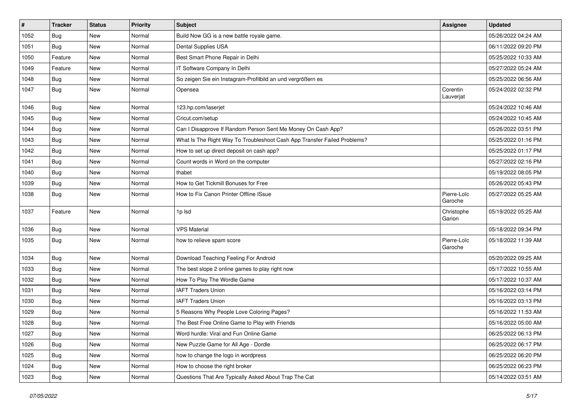| $\sharp$ | <b>Tracker</b> | <b>Status</b> | <b>Priority</b> | Subject                                                                  | <b>Assignee</b>        | <b>Updated</b>      |
|----------|----------------|---------------|-----------------|--------------------------------------------------------------------------|------------------------|---------------------|
| 1052     | <b>Bug</b>     | New           | Normal          | Build Now GG is a new battle royale game.                                |                        | 05/26/2022 04:24 AM |
| 1051     | Bug            | <b>New</b>    | Normal          | Dental Supplies USA                                                      |                        | 06/11/2022 09:20 PM |
| 1050     | Feature        | New           | Normal          | Best Smart Phone Repair in Delhi                                         |                        | 05/25/2022 10:33 AM |
| 1049     | Feature        | New           | Normal          | IT Software Company In Delhi                                             |                        | 05/27/2022 05:24 AM |
| 1048     | Bug            | New           | Normal          | So zeigen Sie ein Instagram-Profilbild an und vergrößern es              |                        | 05/25/2022 06:56 AM |
| 1047     | Bug            | New           | Normal          | Opensea                                                                  | Corentin<br>Lauverjat  | 05/24/2022 02:32 PM |
| 1046     | Bug            | New           | Normal          | 123.hp.com/laserjet                                                      |                        | 05/24/2022 10:46 AM |
| 1045     | <b>Bug</b>     | New           | Normal          | Cricut.com/setup                                                         |                        | 05/24/2022 10:45 AM |
| 1044     | Bug            | New           | Normal          | Can I Disapprove If Random Person Sent Me Money On Cash App?             |                        | 05/26/2022 03:51 PM |
| 1043     | Bug            | New           | Normal          | What Is The Right Way To Troubleshoot Cash App Transfer Failed Problems? |                        | 05/25/2022 01:16 PM |
| 1042     | Bug            | New           | Normal          | How to set up direct deposit on cash app?                                |                        | 05/25/2022 01:17 PM |
| 1041     | Bug            | New           | Normal          | Count words in Word on the computer                                      |                        | 05/27/2022 02:16 PM |
| 1040     | <b>Bug</b>     | New           | Normal          | thabet                                                                   |                        | 05/19/2022 08:05 PM |
| 1039     | Bug            | New           | Normal          | How to Get Tickmill Bonuses for Free                                     |                        | 05/26/2022 05:43 PM |
| 1038     | Bug            | New           | Normal          | How to Fix Canon Printer Offline ISsue                                   | Pierre-Loïc<br>Garoche | 05/27/2022 05:25 AM |
| 1037     | Feature        | New           | Normal          | 1p Isd                                                                   | Christophe<br>Garion   | 05/19/2022 05:25 AM |
| 1036     | Bug            | New           | Normal          | <b>VPS Material</b>                                                      |                        | 05/18/2022 09:34 PM |
| 1035     | Bug            | New           | Normal          | how to relieve spam score                                                | Pierre-Loïc<br>Garoche | 05/18/2022 11:39 AM |
| 1034     | Bug            | New           | Normal          | Download Teaching Feeling For Android                                    |                        | 05/20/2022 09:25 AM |
| 1033     | Bug            | New           | Normal          | The best slope 2 online games to play right now                          |                        | 05/17/2022 10:55 AM |
| 1032     | <b>Bug</b>     | New           | Normal          | How To Play The Wordle Game                                              |                        | 05/17/2022 10:37 AM |
| 1031     | Bug            | New           | Normal          | <b>IAFT Traders Union</b>                                                |                        | 05/16/2022 03:14 PM |
| 1030     | Bug            | New           | Normal          | <b>IAFT Traders Union</b>                                                |                        | 05/16/2022 03:13 PM |
| 1029     | <b>Bug</b>     | New           | Normal          | 5 Reasons Why People Love Coloring Pages?                                |                        | 05/16/2022 11:53 AM |
| 1028     | <b>Bug</b>     | New           | Normal          | The Best Free Online Game to Play with Friends                           |                        | 05/16/2022 05:00 AM |
| 1027     | <b>Bug</b>     | New           | Normal          | Word hurdle: Viral and Fun Online Game                                   |                        | 06/25/2022 06:13 PM |
| 1026     | <b>Bug</b>     | New           | Normal          | New Puzzle Game for All Age - Dordle                                     |                        | 06/25/2022 06:17 PM |
| 1025     | <b>Bug</b>     | New           | Normal          | how to change the logo in wordpress                                      |                        | 06/25/2022 06:20 PM |
| 1024     | Bug            | New           | Normal          | How to choose the right broker                                           |                        | 06/25/2022 06:23 PM |
| 1023     | Bug            | New           | Normal          | Questions That Are Typically Asked About Trap The Cat                    |                        | 05/14/2022 03:51 AM |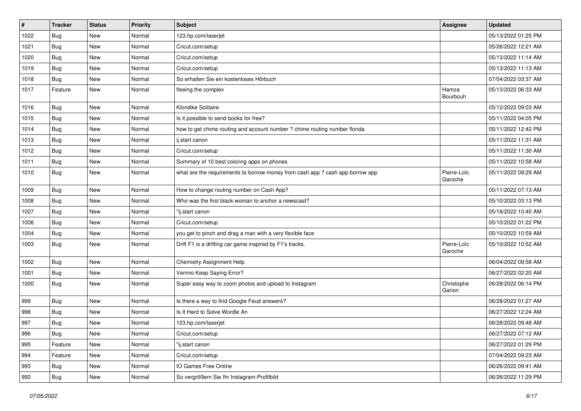| #    | <b>Tracker</b> | <b>Status</b> | <b>Priority</b> | Subject                                                                       | Assignee               | <b>Updated</b>      |
|------|----------------|---------------|-----------------|-------------------------------------------------------------------------------|------------------------|---------------------|
| 1022 | Bug            | New           | Normal          | 123.hp.com/laserjet                                                           |                        | 05/13/2022 01:25 PM |
| 1021 | <b>Bug</b>     | New           | Normal          | Cricut.com/setup                                                              |                        | 05/26/2022 12:21 AM |
| 1020 | Bug            | New           | Normal          | Cricut.com/setup                                                              |                        | 05/13/2022 11:14 AM |
| 1019 | Bug            | New           | Normal          | Cricut.com/setup                                                              |                        | 05/13/2022 11:13 AM |
| 1018 | Bug            | New           | Normal          | So erhalten Sie ein kostenloses Hörbuch                                       |                        | 07/04/2022 03:37 AM |
| 1017 | Feature        | New           | Normal          | fleeing the complex                                                           | Hamza<br>Bourbouh      | 05/13/2022 06:33 AM |
| 1016 | Bug            | New           | Normal          | Klondike Solitaire                                                            |                        | 05/12/2022 09:03 AM |
| 1015 | Bug            | New           | Normal          | Is it possible to send books for free?                                        |                        | 05/11/2022 04:05 PM |
| 1014 | <b>Bug</b>     | New           | Normal          | how to get chime routing and account number ? chime routing number florida    |                        | 05/11/2022 12:42 PM |
| 1013 | <b>Bug</b>     | New           | Normal          | ij.start canon                                                                |                        | 05/11/2022 11:31 AM |
| 1012 | Bug            | New           | Normal          | Cricut.com/setup                                                              |                        | 05/11/2022 11:30 AM |
| 1011 | Bug            | New           | Normal          | Summary of 10 best coloring apps on phones                                    |                        | 05/11/2022 10:58 AM |
| 1010 | Bug            | New           | Normal          | what are the requirements to borrow money from cash app ? cash app borrow app | Pierre-Loïc<br>Garoche | 05/11/2022 09:29 AM |
| 1009 | Bug            | New           | Normal          | How to change routing number on Cash App?                                     |                        | 05/11/2022 07:13 AM |
| 1008 | <b>Bug</b>     | New           | Normal          | Who was the first black woman to anchor a newscast?                           |                        | 05/10/2022 03:13 PM |
| 1007 | Bug            | New           | Normal          | "ij.start canon                                                               |                        | 05/18/2022 10:40 AM |
| 1006 | Bug            | New           | Normal          | Cricut.com/setup                                                              |                        | 05/10/2022 01:22 PM |
| 1004 | Bug            | New           | Normal          | you get to pinch and drag a man with a very flexible face                     |                        | 05/10/2022 10:59 AM |
| 1003 | <b>Bug</b>     | New           | Normal          | Drift F1 is a drifting car game inspired by F1's tracks.                      | Pierre-Loïc<br>Garoche | 05/10/2022 10:52 AM |
| 1002 | Bug            | New           | Normal          | <b>Chemistry Assignment Help</b>                                              |                        | 06/04/2022 09:58 AM |
| 1001 | <b>Bug</b>     | New           | Normal          | Venmo Keep Saying Error?                                                      |                        | 06/27/2022 02:20 AM |
| 1000 | <b>Bug</b>     | New           | Normal          | Super easy way to zoom photos and upload to Instagram                         | Christophe<br>Garion   | 06/28/2022 06:14 PM |
| 999  | <b>Bug</b>     | New           | Normal          | Is there a way to find Google Feud answers?                                   |                        | 06/28/2022 01:27 AM |
| 998  | Bug            | New           | Normal          | Is It Hard to Solve Wordle An                                                 |                        | 06/27/2022 12:24 AM |
| 997  | <b>Bug</b>     | New           | Normal          | 123.hp.com/laserjet                                                           |                        | 06/28/2022 09:48 AM |
| 996  | <b>Bug</b>     | New           | Normal          | Cricut.com/setup                                                              |                        | 06/27/2022 07:12 AM |
| 995  | Feature        | New           | Normal          | "ij.start canon                                                               |                        | 06/27/2022 01:29 PM |
| 994  | Feature        | New           | Normal          | Cricut.com/setup                                                              |                        | 07/04/2022 09:23 AM |
| 993  | Bug            | New           | Normal          | IO Games Free Online                                                          |                        | 06/26/2022 09:41 AM |
| 992  | <b>Bug</b>     | New           | Normal          | So vergrößern Sie Ihr Instagram-Profilbild                                    |                        | 06/26/2022 11:29 PM |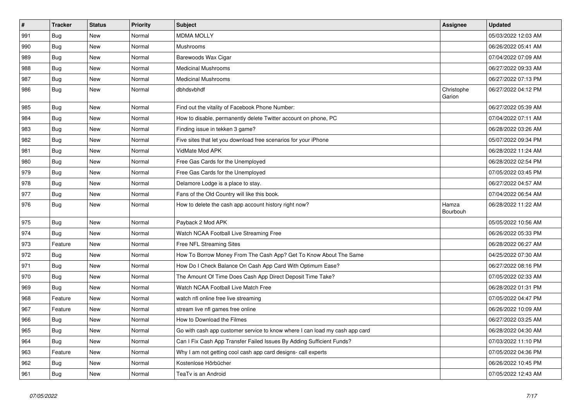| $\vert$ # | <b>Tracker</b> | <b>Status</b> | Priority | <b>Subject</b>                                                              | <b>Assignee</b>      | <b>Updated</b>      |
|-----------|----------------|---------------|----------|-----------------------------------------------------------------------------|----------------------|---------------------|
| 991       | Bug            | New           | Normal   | <b>MDMA MOLLY</b>                                                           |                      | 05/03/2022 12:03 AM |
| 990       | <b>Bug</b>     | New           | Normal   | Mushrooms                                                                   |                      | 06/26/2022 05:41 AM |
| 989       | Bug            | New           | Normal   | Barewoods Wax Cigar                                                         |                      | 07/04/2022 07:09 AM |
| 988       | <b>Bug</b>     | New           | Normal   | <b>Medicinal Mushrooms</b>                                                  |                      | 06/27/2022 09:33 AM |
| 987       | <b>Bug</b>     | New           | Normal   | <b>Medicinal Mushrooms</b>                                                  |                      | 06/27/2022 07:13 PM |
| 986       | <b>Bug</b>     | New           | Normal   | dbhdsvbhdf                                                                  | Christophe<br>Garion | 06/27/2022 04:12 PM |
| 985       | <b>Bug</b>     | New           | Normal   | Find out the vitality of Facebook Phone Number:                             |                      | 06/27/2022 05:39 AM |
| 984       | <b>Bug</b>     | New           | Normal   | How to disable, permanently delete Twitter account on phone, PC             |                      | 07/04/2022 07:11 AM |
| 983       | <b>Bug</b>     | New           | Normal   | Finding issue in tekken 3 game?                                             |                      | 06/28/2022 03:26 AM |
| 982       | Bug            | New           | Normal   | Five sites that let you download free scenarios for your iPhone             |                      | 05/07/2022 09:34 PM |
| 981       | Bug            | New           | Normal   | VidMate Mod APK                                                             |                      | 06/28/2022 11:24 AM |
| 980       | <b>Bug</b>     | New           | Normal   | Free Gas Cards for the Unemployed                                           |                      | 06/28/2022 02:54 PM |
| 979       | <b>Bug</b>     | New           | Normal   | Free Gas Cards for the Unemployed                                           |                      | 07/05/2022 03:45 PM |
| 978       | <b>Bug</b>     | New           | Normal   | Delamore Lodge is a place to stay.                                          |                      | 06/27/2022 04:57 AM |
| 977       | <b>Bug</b>     | New           | Normal   | Fans of the Old Country will like this book.                                |                      | 07/04/2022 06:54 AM |
| 976       | Bug            | New           | Normal   | How to delete the cash app account history right now?                       | Hamza<br>Bourbouh    | 06/28/2022 11:22 AM |
| 975       | <b>Bug</b>     | New           | Normal   | Payback 2 Mod APK                                                           |                      | 05/05/2022 10:56 AM |
| 974       | <b>Bug</b>     | <b>New</b>    | Normal   | Watch NCAA Football Live Streaming Free                                     |                      | 06/26/2022 05:33 PM |
| 973       | Feature        | New           | Normal   | Free NFL Streaming Sites                                                    |                      | 06/28/2022 06:27 AM |
| 972       | <b>Bug</b>     | New           | Normal   | How To Borrow Money From The Cash App? Get To Know About The Same           |                      | 04/25/2022 07:30 AM |
| 971       | Bug            | New           | Normal   | How Do I Check Balance On Cash App Card With Optimum Ease?                  |                      | 06/27/2022 08:16 PM |
| 970       | <b>Bug</b>     | New           | Normal   | The Amount Of Time Does Cash App Direct Deposit Time Take?                  |                      | 07/05/2022 02:33 AM |
| 969       | <b>Bug</b>     | <b>New</b>    | Normal   | Watch NCAA Football Live Match Free                                         |                      | 06/28/2022 01:31 PM |
| 968       | Feature        | <b>New</b>    | Normal   | watch nfl online free live streaming                                        |                      | 07/05/2022 04:47 PM |
| 967       | Feature        | New           | Normal   | stream live nfl games free online                                           |                      | 06/26/2022 10:09 AM |
| 966       | <b>Bug</b>     | New           | Normal   | How to Download the Filmes                                                  |                      | 06/27/2022 03:25 AM |
| 965       | <b>Bug</b>     | New           | Normal   | Go with cash app customer service to know where I can load my cash app card |                      | 06/28/2022 04:30 AM |
| 964       | Bug            | New           | Normal   | Can I Fix Cash App Transfer Failed Issues By Adding Sufficient Funds?       |                      | 07/03/2022 11:10 PM |
| 963       | Feature        | New           | Normal   | Why I am not getting cool cash app card designs- call experts               |                      | 07/05/2022 04:36 PM |
| 962       | Bug            | New           | Normal   | Kostenlose Hörbücher                                                        |                      | 06/26/2022 10:45 PM |
| 961       | <b>Bug</b>     | New           | Normal   | TeaTv is an Android                                                         |                      | 07/05/2022 12:43 AM |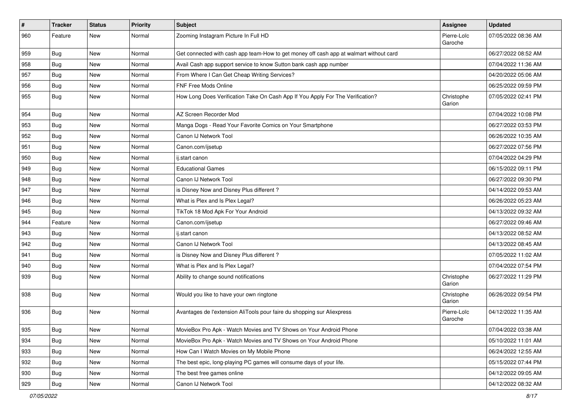| $\sharp$ | <b>Tracker</b> | <b>Status</b> | <b>Priority</b> | Subject                                                                                | Assignee               | <b>Updated</b>      |
|----------|----------------|---------------|-----------------|----------------------------------------------------------------------------------------|------------------------|---------------------|
| 960      | Feature        | New           | Normal          | Zooming Instagram Picture In Full HD                                                   | Pierre-Loïc<br>Garoche | 07/05/2022 08:36 AM |
| 959      | <b>Bug</b>     | New           | Normal          | Get connected with cash app team-How to get money off cash app at walmart without card |                        | 06/27/2022 08:52 AM |
| 958      | <b>Bug</b>     | New           | Normal          | Avail Cash app support service to know Sutton bank cash app number                     |                        | 07/04/2022 11:36 AM |
| 957      | Bug            | New           | Normal          | From Where I Can Get Cheap Writing Services?                                           |                        | 04/20/2022 05:06 AM |
| 956      | <b>Bug</b>     | New           | Normal          | <b>FNF Free Mods Online</b>                                                            |                        | 06/25/2022 09:59 PM |
| 955      | Bug            | New           | Normal          | How Long Does Verification Take On Cash App If You Apply For The Verification?         | Christophe<br>Garion   | 07/05/2022 02:41 PM |
| 954      | Bug            | <b>New</b>    | Normal          | AZ Screen Recorder Mod                                                                 |                        | 07/04/2022 10:08 PM |
| 953      | Bug            | <b>New</b>    | Normal          | Manga Dogs - Read Your Favorite Comics on Your Smartphone                              |                        | 06/27/2022 03:53 PM |
| 952      | <b>Bug</b>     | New           | Normal          | Canon IJ Network Tool                                                                  |                        | 06/26/2022 10:35 AM |
| 951      | Bug            | New           | Normal          | Canon.com/ijsetup                                                                      |                        | 06/27/2022 07:56 PM |
| 950      | Bug            | <b>New</b>    | Normal          | ij.start canon                                                                         |                        | 07/04/2022 04:29 PM |
| 949      | <b>Bug</b>     | New           | Normal          | <b>Educational Games</b>                                                               |                        | 06/15/2022 09:11 PM |
| 948      | Bug            | New           | Normal          | Canon IJ Network Tool                                                                  |                        | 06/27/2022 09:30 PM |
| 947      | Bug            | New           | Normal          | is Disney Now and Disney Plus different?                                               |                        | 04/14/2022 09:53 AM |
| 946      | <b>Bug</b>     | New           | Normal          | What is Plex and Is Plex Legal?                                                        |                        | 06/26/2022 05:23 AM |
| 945      | Bug            | New           | Normal          | TikTok 18 Mod Apk For Your Android                                                     |                        | 04/13/2022 09:32 AM |
| 944      | Feature        | New           | Normal          | Canon.com/ijsetup                                                                      |                        | 06/27/2022 09:46 AM |
| 943      | Bug            | New           | Normal          | ij.start canon                                                                         |                        | 04/13/2022 08:52 AM |
| 942      | <b>Bug</b>     | New           | Normal          | Canon IJ Network Tool                                                                  |                        | 04/13/2022 08:45 AM |
| 941      | Bug            | New           | Normal          | is Disney Now and Disney Plus different?                                               |                        | 07/05/2022 11:02 AM |
| 940      | Bug            | New           | Normal          | What is Plex and Is Plex Legal?                                                        |                        | 07/04/2022 07:54 PM |
| 939      | Bug            | New           | Normal          | Ability to change sound notifications                                                  | Christophe<br>Garion   | 06/27/2022 11:29 PM |
| 938      | <b>Bug</b>     | <b>New</b>    | Normal          | Would you like to have your own ringtone                                               | Christophe<br>Garion   | 06/26/2022 09:54 PM |
| 936      | Bug            | New           | Normal          | Avantages de l'extension AliTools pour faire du shopping sur Aliexpress                | Pierre-Loïc<br>Garoche | 04/12/2022 11:35 AM |
| 935      | <b>Bug</b>     | New           | Normal          | MovieBox Pro Apk - Watch Movies and TV Shows on Your Android Phone                     |                        | 07/04/2022 03:38 AM |
| 934      | Bug            | New           | Normal          | MovieBox Pro Apk - Watch Movies and TV Shows on Your Android Phone                     |                        | 05/10/2022 11:01 AM |
| 933      | <b>Bug</b>     | New           | Normal          | How Can I Watch Movies on My Mobile Phone                                              |                        | 06/24/2022 12:55 AM |
| 932      | Bug            | New           | Normal          | The best epic, long-playing PC games will consume days of your life.                   |                        | 05/15/2022 07:44 PM |
| 930      | <b>Bug</b>     | New           | Normal          | The best free games online                                                             |                        | 04/12/2022 09:05 AM |
| 929      | Bug            | New           | Normal          | Canon IJ Network Tool                                                                  |                        | 04/12/2022 08:32 AM |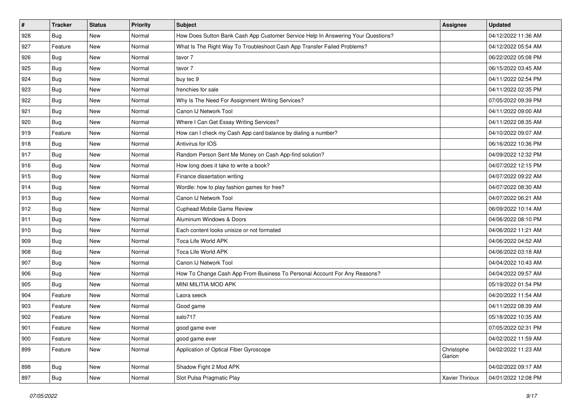| #   | <b>Tracker</b> | <b>Status</b> | <b>Priority</b> | Subject                                                                          | <b>Assignee</b>      | <b>Updated</b>      |
|-----|----------------|---------------|-----------------|----------------------------------------------------------------------------------|----------------------|---------------------|
| 928 | <b>Bug</b>     | New           | Normal          | How Does Sutton Bank Cash App Customer Service Help In Answering Your Questions? |                      | 04/12/2022 11:36 AM |
| 927 | Feature        | New           | Normal          | What Is The Right Way To Troubleshoot Cash App Transfer Failed Problems?         |                      | 04/12/2022 05:54 AM |
| 926 | Bug            | New           | Normal          | tavor 7                                                                          |                      | 06/22/2022 05:08 PM |
| 925 | Bug            | New           | Normal          | tavor 7                                                                          |                      | 06/15/2022 03:45 AM |
| 924 | <b>Bug</b>     | New           | Normal          | buy tec 9                                                                        |                      | 04/11/2022 02:54 PM |
| 923 | <b>Bug</b>     | New           | Normal          | frenchies for sale                                                               |                      | 04/11/2022 02:35 PM |
| 922 | <b>Bug</b>     | New           | Normal          | Why Is The Need For Assignment Writing Services?                                 |                      | 07/05/2022 09:39 PM |
| 921 | Bug            | New           | Normal          | Canon IJ Network Tool                                                            |                      | 04/11/2022 09:00 AM |
| 920 | <b>Bug</b>     | New           | Normal          | Where I Can Get Essay Writing Services?                                          |                      | 04/11/2022 08:35 AM |
| 919 | Feature        | New           | Normal          | How can I check my Cash App card balance by dialing a number?                    |                      | 04/10/2022 09:07 AM |
| 918 | <b>Bug</b>     | New           | Normal          | Antivirus for IOS                                                                |                      | 06/16/2022 10:36 PM |
| 917 | <b>Bug</b>     | New           | Normal          | Random Person Sent Me Money on Cash App-find solution?                           |                      | 04/09/2022 12:32 PM |
| 916 | <b>Bug</b>     | New           | Normal          | How long does it take to write a book?                                           |                      | 04/07/2022 12:15 PM |
| 915 | <b>Bug</b>     | New           | Normal          | Finance dissertation writing                                                     |                      | 04/07/2022 09:22 AM |
| 914 | Bug            | New           | Normal          | Wordle: how to play fashion games for free?                                      |                      | 04/07/2022 08:30 AM |
| 913 | <b>Bug</b>     | New           | Normal          | Canon IJ Network Tool                                                            |                      | 04/07/2022 06:21 AM |
| 912 | <b>Bug</b>     | New           | Normal          | Cuphead Mobile Game Review                                                       |                      | 06/09/2022 10:14 AM |
| 911 | <b>Bug</b>     | New           | Normal          | Aluminum Windows & Doors                                                         |                      | 04/06/2022 08:10 PM |
| 910 | <b>Bug</b>     | New           | Normal          | Each content looks unisize or not formated                                       |                      | 04/06/2022 11:21 AM |
| 909 | <b>Bug</b>     | New           | Normal          | Toca Life World APK                                                              |                      | 04/06/2022 04:52 AM |
| 908 | <b>Bug</b>     | New           | Normal          | Toca Life World APK                                                              |                      | 04/06/2022 03:18 AM |
| 907 | Bug            | New           | Normal          | Canon IJ Network Tool                                                            |                      | 04/04/2022 10:43 AM |
| 906 | <b>Bug</b>     | New           | Normal          | How To Change Cash App From Business To Personal Account For Any Reasons?        |                      | 04/04/2022 09:57 AM |
| 905 | <b>Bug</b>     | New           | Normal          | MINI MILITIA MOD APK                                                             |                      | 05/19/2022 01:54 PM |
| 904 | Feature        | New           | Normal          | Laora seeck                                                                      |                      | 04/20/2022 11:54 AM |
| 903 | Feature        | New           | Normal          | Good game                                                                        |                      | 04/11/2022 08:39 AM |
| 902 | Feature        | New           | Normal          | salo717                                                                          |                      | 05/18/2022 10:35 AM |
| 901 | Feature        | New           | Normal          | good game ever                                                                   |                      | 07/05/2022 02:31 PM |
| 900 | Feature        | New           | Normal          | good game ever                                                                   |                      | 04/02/2022 11:59 AM |
| 899 | Feature        | New           | Normal          | Application of Optical Fiber Gyroscope                                           | Christophe<br>Garion | 04/02/2022 11:23 AM |
| 898 | Bug            | New           | Normal          | Shadow Fight 2 Mod APK                                                           |                      | 04/02/2022 09:17 AM |
| 897 | Bug            | New           | Normal          | Slot Pulsa Pragmatic Play                                                        | Xavier Thirioux      | 04/01/2022 12:08 PM |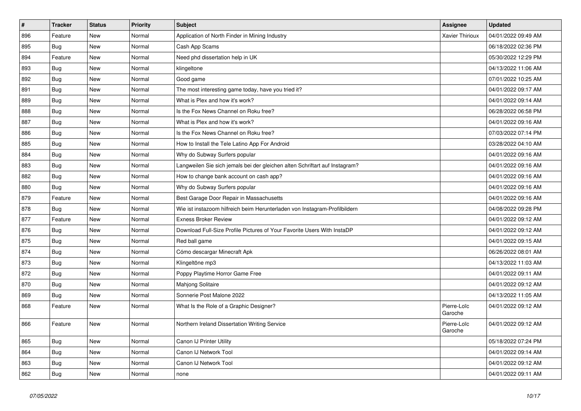| $\vert$ # | <b>Tracker</b> | <b>Status</b> | Priority | <b>Subject</b>                                                              | <b>Assignee</b>        | <b>Updated</b>      |
|-----------|----------------|---------------|----------|-----------------------------------------------------------------------------|------------------------|---------------------|
| 896       | Feature        | <b>New</b>    | Normal   | Application of North Finder in Mining Industry                              | <b>Xavier Thirioux</b> | 04/01/2022 09:49 AM |
| 895       | <b>Bug</b>     | New           | Normal   | Cash App Scams                                                              |                        | 06/18/2022 02:36 PM |
| 894       | Feature        | New           | Normal   | Need phd dissertation help in UK                                            |                        | 05/30/2022 12:29 PM |
| 893       | <b>Bug</b>     | New           | Normal   | klingeltone                                                                 |                        | 04/13/2022 11:06 AM |
| 892       | Bug            | New           | Normal   | Good game                                                                   |                        | 07/01/2022 10:25 AM |
| 891       | <b>Bug</b>     | <b>New</b>    | Normal   | The most interesting game today, have you tried it?                         |                        | 04/01/2022 09:17 AM |
| 889       | Bug            | <b>New</b>    | Normal   | What is Plex and how it's work?                                             |                        | 04/01/2022 09:14 AM |
| 888       | <b>Bug</b>     | New           | Normal   | Is the Fox News Channel on Roku free?                                       |                        | 06/28/2022 06:58 PM |
| 887       | Bug            | New           | Normal   | What is Plex and how it's work?                                             |                        | 04/01/2022 09:16 AM |
| 886       | Bug            | <b>New</b>    | Normal   | Is the Fox News Channel on Roku free?                                       |                        | 07/03/2022 07:14 PM |
| 885       | Bug            | New           | Normal   | How to Install the Tele Latino App For Android                              |                        | 03/28/2022 04:10 AM |
| 884       | <b>Bug</b>     | New           | Normal   | Why do Subway Surfers popular                                               |                        | 04/01/2022 09:16 AM |
| 883       | <b>Bug</b>     | New           | Normal   | Langweilen Sie sich jemals bei der gleichen alten Schriftart auf Instagram? |                        | 04/01/2022 09:16 AM |
| 882       | Bug            | New           | Normal   | How to change bank account on cash app?                                     |                        | 04/01/2022 09:16 AM |
| 880       | Bug            | New           | Normal   | Why do Subway Surfers popular                                               |                        | 04/01/2022 09:16 AM |
| 879       | Feature        | New           | Normal   | Best Garage Door Repair in Massachusetts                                    |                        | 04/01/2022 09:16 AM |
| 878       | Bug            | New           | Normal   | Wie ist instazoom hilfreich beim Herunterladen von Instagram-Profilbildern  |                        | 04/08/2022 09:28 PM |
| 877       | Feature        | New           | Normal   | <b>Exness Broker Review</b>                                                 |                        | 04/01/2022 09:12 AM |
| 876       | Bug            | New           | Normal   | Download Full-Size Profile Pictures of Your Favorite Users With InstaDP     |                        | 04/01/2022 09:12 AM |
| 875       | Bug            | New           | Normal   | Red ball game                                                               |                        | 04/01/2022 09:15 AM |
| 874       | Bug            | New           | Normal   | Cómo descargar Minecraft Apk                                                |                        | 06/26/2022 08:01 AM |
| 873       | Bug            | <b>New</b>    | Normal   | Klingeltöne mp3                                                             |                        | 04/13/2022 11:03 AM |
| 872       | Bug            | New           | Normal   | Poppy Playtime Horror Game Free                                             |                        | 04/01/2022 09:11 AM |
| 870       | Bug            | New           | Normal   | <b>Mahjong Solitaire</b>                                                    |                        | 04/01/2022 09:12 AM |
| 869       | <b>Bug</b>     | New           | Normal   | Sonnerie Post Malone 2022                                                   |                        | 04/13/2022 11:05 AM |
| 868       | Feature        | New           | Normal   | What Is the Role of a Graphic Designer?                                     | Pierre-Loïc<br>Garoche | 04/01/2022 09:12 AM |
| 866       | Feature        | <b>New</b>    | Normal   | Northern Ireland Dissertation Writing Service                               | Pierre-Loïc<br>Garoche | 04/01/2022 09:12 AM |
| 865       | Bug            | <b>New</b>    | Normal   | Canon IJ Printer Utility                                                    |                        | 05/18/2022 07:24 PM |
| 864       | <b>Bug</b>     | New           | Normal   | Canon IJ Network Tool                                                       |                        | 04/01/2022 09:14 AM |
| 863       | <b>Bug</b>     | New           | Normal   | Canon IJ Network Tool                                                       |                        | 04/01/2022 09:12 AM |
| 862       | Bug            | <b>New</b>    | Normal   | none                                                                        |                        | 04/01/2022 09:11 AM |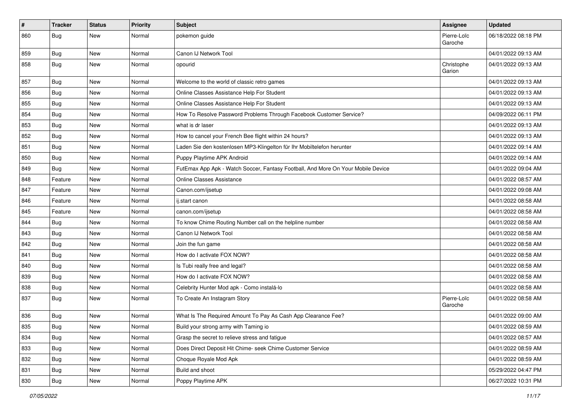| $\pmb{\sharp}$ | <b>Tracker</b>   | <b>Status</b> | <b>Priority</b> | <b>Subject</b>                                                                   | Assignee               | <b>Updated</b>      |
|----------------|------------------|---------------|-----------------|----------------------------------------------------------------------------------|------------------------|---------------------|
| 860            | <b>Bug</b>       | New           | Normal          | pokemon guide                                                                    | Pierre-Loïc<br>Garoche | 06/18/2022 08:18 PM |
| 859            | <b>Bug</b>       | New           | Normal          | Canon IJ Network Tool                                                            |                        | 04/01/2022 09:13 AM |
| 858            | <b>Bug</b>       | New           | Normal          | opourid                                                                          | Christophe<br>Garion   | 04/01/2022 09:13 AM |
| 857            | Bug              | New           | Normal          | Welcome to the world of classic retro games                                      |                        | 04/01/2022 09:13 AM |
| 856            | Bug              | New           | Normal          | Online Classes Assistance Help For Student                                       |                        | 04/01/2022 09:13 AM |
| 855            | <b>Bug</b>       | New           | Normal          | Online Classes Assistance Help For Student                                       |                        | 04/01/2022 09:13 AM |
| 854            | Bug              | New           | Normal          | How To Resolve Password Problems Through Facebook Customer Service?              |                        | 04/09/2022 06:11 PM |
| 853            | <b>Bug</b>       | New           | Normal          | what is dr laser                                                                 |                        | 04/01/2022 09:13 AM |
| 852            | <b>Bug</b>       | New           | Normal          | How to cancel your French Bee flight within 24 hours?                            |                        | 04/01/2022 09:13 AM |
| 851            | Bug              | New           | Normal          | Laden Sie den kostenlosen MP3-Klingelton für Ihr Mobiltelefon herunter           |                        | 04/01/2022 09:14 AM |
| 850            | Bug              | New           | Normal          | Puppy Playtime APK Android                                                       |                        | 04/01/2022 09:14 AM |
| 849            | Bug              | New           | Normal          | FutEmax App Apk - Watch Soccer, Fantasy Football, And More On Your Mobile Device |                        | 04/01/2022 09:04 AM |
| 848            | Feature          | New           | Normal          | Online Classes Assistance                                                        |                        | 04/01/2022 08:57 AM |
| 847            | Feature          | New           | Normal          | Canon.com/ijsetup                                                                |                        | 04/01/2022 09:08 AM |
| 846            | Feature          | New           | Normal          | ij.start canon                                                                   |                        | 04/01/2022 08:58 AM |
| 845            | Feature          | New           | Normal          | canon.com/ijsetup                                                                |                        | 04/01/2022 08:58 AM |
| 844            | Bug              | New           | Normal          | To know Chime Routing Number call on the helpline number                         |                        | 04/01/2022 08:58 AM |
| 843            | Bug              | New           | Normal          | Canon IJ Network Tool                                                            |                        | 04/01/2022 08:58 AM |
| 842            | <b>Bug</b>       | New           | Normal          | Join the fun game                                                                |                        | 04/01/2022 08:58 AM |
| 841            | Bug              | New           | Normal          | How do I activate FOX NOW?                                                       |                        | 04/01/2022 08:58 AM |
| 840            | Bug              | New           | Normal          | Is Tubi really free and legal?                                                   |                        | 04/01/2022 08:58 AM |
| 839            | <b>Bug</b>       | New           | Normal          | How do I activate FOX NOW?                                                       |                        | 04/01/2022 08:58 AM |
| 838            | Bug              | New           | Normal          | Celebrity Hunter Mod apk - Como instalá-lo                                       |                        | 04/01/2022 08:58 AM |
| 837            | <b>Bug</b>       | New           | Normal          | To Create An Instagram Story                                                     | Pierre-Loïc<br>Garoche | 04/01/2022 08:58 AM |
| 836            | <b>Bug</b>       | New           | Normal          | What Is The Required Amount To Pay As Cash App Clearance Fee?                    |                        | 04/01/2022 09:00 AM |
| 835            | <sub>I</sub> Bug | New           | Normal          | Build your strong army with Taming io                                            |                        | 04/01/2022 08:59 AM |
| 834            | <b>Bug</b>       | New           | Normal          | Grasp the secret to relieve stress and fatigue                                   |                        | 04/01/2022 08:57 AM |
| 833            | Bug              | New           | Normal          | Does Direct Deposit Hit Chime- seek Chime Customer Service                       |                        | 04/01/2022 08:59 AM |
| 832            | <b>Bug</b>       | New           | Normal          | Choque Royale Mod Apk                                                            |                        | 04/01/2022 08:59 AM |
| 831            | <b>Bug</b>       | New           | Normal          | Build and shoot                                                                  |                        | 05/29/2022 04:47 PM |
| 830            | <b>Bug</b>       | New           | Normal          | Poppy Playtime APK                                                               |                        | 06/27/2022 10:31 PM |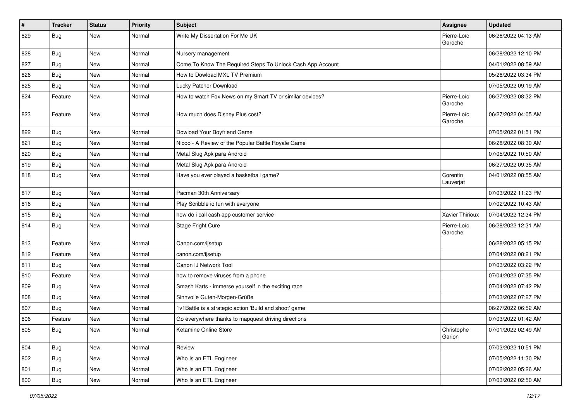| $\vert$ # | <b>Tracker</b> | <b>Status</b> | <b>Priority</b> | Subject                                                    | Assignee               | <b>Updated</b>      |
|-----------|----------------|---------------|-----------------|------------------------------------------------------------|------------------------|---------------------|
| 829       | <b>Bug</b>     | New           | Normal          | Write My Dissertation For Me UK                            | Pierre-Loïc<br>Garoche | 06/26/2022 04:13 AM |
| 828       | <b>Bug</b>     | New           | Normal          | Nursery management                                         |                        | 06/28/2022 12:10 PM |
| 827       | <b>Bug</b>     | New           | Normal          | Come To Know The Required Steps To Unlock Cash App Account |                        | 04/01/2022 08:59 AM |
| 826       | Bug            | New           | Normal          | How to Dowload MXL TV Premium                              |                        | 05/26/2022 03:34 PM |
| 825       | <b>Bug</b>     | New           | Normal          | Lucky Patcher Download                                     |                        | 07/05/2022 09:19 AM |
| 824       | Feature        | New           | Normal          | How to watch Fox News on my Smart TV or similar devices?   | Pierre-Loïc<br>Garoche | 06/27/2022 08:32 PM |
| 823       | Feature        | New           | Normal          | How much does Disney Plus cost?                            | Pierre-Loïc<br>Garoche | 06/27/2022 04:05 AM |
| 822       | <b>Bug</b>     | New           | Normal          | Dowload Your Boyfriend Game                                |                        | 07/05/2022 01:51 PM |
| 821       | <b>Bug</b>     | New           | Normal          | Nicoo - A Review of the Popular Battle Royale Game         |                        | 06/28/2022 08:30 AM |
| 820       | <b>Bug</b>     | New           | Normal          | Metal Slug Apk para Android                                |                        | 07/05/2022 10:50 AM |
| 819       | Bug            | New           | Normal          | Metal Slug Apk para Android                                |                        | 06/27/2022 09:35 AM |
| 818       | <b>Bug</b>     | New           | Normal          | Have you ever played a basketball game?                    | Corentin<br>Lauverjat  | 04/01/2022 08:55 AM |
| 817       | <b>Bug</b>     | New           | Normal          | Pacman 30th Anniversary                                    |                        | 07/03/2022 11:23 PM |
| 816       | Bug            | New           | Normal          | Play Scribble io fun with everyone                         |                        | 07/02/2022 10:43 AM |
| 815       | <b>Bug</b>     | New           | Normal          | how do i call cash app customer service                    | Xavier Thirioux        | 07/04/2022 12:34 PM |
| 814       | <b>Bug</b>     | New           | Normal          | Stage Fright Cure                                          | Pierre-Loïc<br>Garoche | 06/28/2022 12:31 AM |
| 813       | Feature        | New           | Normal          | Canon.com/ijsetup                                          |                        | 06/28/2022 05:15 PM |
| 812       | Feature        | New           | Normal          | canon.com/ijsetup                                          |                        | 07/04/2022 08:21 PM |
| 811       | <b>Bug</b>     | New           | Normal          | Canon IJ Network Tool                                      |                        | 07/03/2022 03:22 PM |
| 810       | Feature        | New           | Normal          | how to remove viruses from a phone                         |                        | 07/04/2022 07:35 PM |
| 809       | Bug            | New           | Normal          | Smash Karts - immerse yourself in the exciting race        |                        | 07/04/2022 07:42 PM |
| 808       | <b>Bug</b>     | New           | Normal          | Sinnvolle Guten-Morgen-Grüße                               |                        | 07/03/2022 07:27 PM |
| 807       | <b>Bug</b>     | New           | Normal          | 1v1Battle is a strategic action 'Build and shoot' game     |                        | 06/27/2022 06:52 AM |
| 806       | Feature        | New           | Normal          | Go everywhere thanks to mapquest driving directions        |                        | 07/03/2022 01:42 AM |
| 805       | <b>Bug</b>     | New           | Normal          | Ketamine Online Store                                      | Christophe<br>Garion   | 07/01/2022 02:49 AM |
| 804       | Bug            | New           | Normal          | Review                                                     |                        | 07/03/2022 10:51 PM |
| 802       | Bug            | New           | Normal          | Who Is an ETL Engineer                                     |                        | 07/05/2022 11:30 PM |
| 801       | <b>Bug</b>     | New           | Normal          | Who Is an ETL Engineer                                     |                        | 07/02/2022 05:26 AM |
| 800       | Bug            | New           | Normal          | Who Is an ETL Engineer                                     |                        | 07/03/2022 02:50 AM |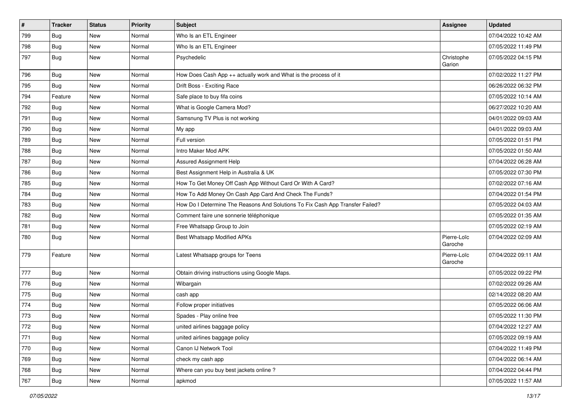| $\vert$ # | <b>Tracker</b> | <b>Status</b> | <b>Priority</b> | Subject                                                                       | <b>Assignee</b>        | <b>Updated</b>      |
|-----------|----------------|---------------|-----------------|-------------------------------------------------------------------------------|------------------------|---------------------|
| 799       | Bug            | New           | Normal          | Who Is an ETL Engineer                                                        |                        | 07/04/2022 10:42 AM |
| 798       | Bug            | New           | Normal          | Who Is an ETL Engineer                                                        |                        | 07/05/2022 11:49 PM |
| 797       | Bug            | New           | Normal          | Psychedelic                                                                   | Christophe<br>Garion   | 07/05/2022 04:15 PM |
| 796       | Bug            | New           | Normal          | How Does Cash App ++ actually work and What is the process of it              |                        | 07/02/2022 11:27 PM |
| 795       | Bug            | New           | Normal          | Drift Boss - Exciting Race                                                    |                        | 06/26/2022 06:32 PM |
| 794       | Feature        | New           | Normal          | Safe place to buy fifa coins                                                  |                        | 07/05/2022 10:14 AM |
| 792       | Bug            | New           | Normal          | What is Google Camera Mod?                                                    |                        | 06/27/2022 10:20 AM |
| 791       | <b>Bug</b>     | New           | Normal          | Samsnung TV Plus is not working                                               |                        | 04/01/2022 09:03 AM |
| 790       | Bug            | New           | Normal          | My app                                                                        |                        | 04/01/2022 09:03 AM |
| 789       | <b>Bug</b>     | New           | Normal          | Full version                                                                  |                        | 07/05/2022 01:51 PM |
| 788       | <b>Bug</b>     | New           | Normal          | Intro Maker Mod APK                                                           |                        | 07/05/2022 01:50 AM |
| 787       | <b>Bug</b>     | New           | Normal          | Assured Assignment Help                                                       |                        | 07/04/2022 06:28 AM |
| 786       | <b>Bug</b>     | New           | Normal          | Best Assignment Help in Australia & UK                                        |                        | 07/05/2022 07:30 PM |
| 785       | Bug            | New           | Normal          | How To Get Money Off Cash App Without Card Or With A Card?                    |                        | 07/02/2022 07:16 AM |
| 784       | Bug            | New           | Normal          | How To Add Money On Cash App Card And Check The Funds?                        |                        | 07/04/2022 01:54 PM |
| 783       | <b>Bug</b>     | New           | Normal          | How Do I Determine The Reasons And Solutions To Fix Cash App Transfer Failed? |                        | 07/05/2022 04:03 AM |
| 782       | Bug            | New           | Normal          | Comment faire une sonnerie téléphonique                                       |                        | 07/05/2022 01:35 AM |
| 781       | <b>Bug</b>     | New           | Normal          | Free Whatsapp Group to Join                                                   |                        | 07/05/2022 02:19 AM |
| 780       | <b>Bug</b>     | New           | Normal          | Best Whatsapp Modified APKs                                                   | Pierre-Loïc<br>Garoche | 07/04/2022 02:09 AM |
| 779       | Feature        | New           | Normal          | Latest Whatsapp groups for Teens                                              | Pierre-Loïc<br>Garoche | 07/04/2022 09:11 AM |
| 777       | Bug            | New           | Normal          | Obtain driving instructions using Google Maps.                                |                        | 07/05/2022 09:22 PM |
| 776       | <b>Bug</b>     | New           | Normal          | Wibargain                                                                     |                        | 07/02/2022 09:26 AM |
| 775       | Bug            | New           | Normal          | cash app                                                                      |                        | 02/14/2022 08:20 AM |
| 774       | <b>Bug</b>     | New           | Normal          | Follow proper initiatives                                                     |                        | 07/05/2022 06:06 AM |
| 773       | <b>Bug</b>     | New           | Normal          | Spades - Play online free                                                     |                        | 07/05/2022 11:30 PM |
| 772       | Bug            | New           | Normal          | united airlines baggage policy                                                |                        | 07/04/2022 12:27 AM |
| 771       | Bug            | New           | Normal          | united airlines baggage policy                                                |                        | 07/05/2022 09:19 AM |
| 770       | <b>Bug</b>     | New           | Normal          | Canon IJ Network Tool                                                         |                        | 07/04/2022 11:49 PM |
| 769       | Bug            | New           | Normal          | check my cash app                                                             |                        | 07/04/2022 06:14 AM |
| 768       | <b>Bug</b>     | New           | Normal          | Where can you buy best jackets online?                                        |                        | 07/04/2022 04:44 PM |
| 767       | Bug            | New           | Normal          | apkmod                                                                        |                        | 07/05/2022 11:57 AM |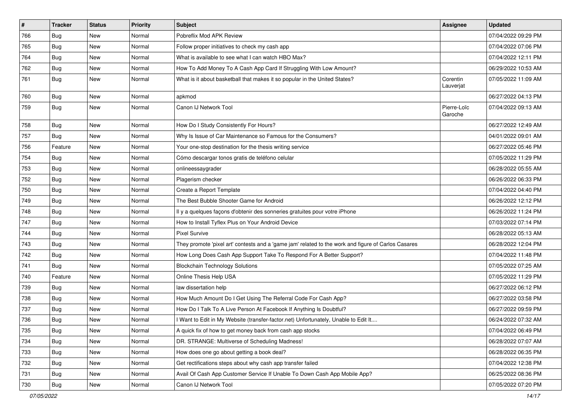| $\vert$ # | <b>Tracker</b> | <b>Status</b> | <b>Priority</b> | Subject                                                                                             | <b>Assignee</b>        | <b>Updated</b>      |
|-----------|----------------|---------------|-----------------|-----------------------------------------------------------------------------------------------------|------------------------|---------------------|
| 766       | <b>Bug</b>     | New           | Normal          | Pobreflix Mod APK Review                                                                            |                        | 07/04/2022 09:29 PM |
| 765       | Bug            | <b>New</b>    | Normal          | Follow proper initiatives to check my cash app                                                      |                        | 07/04/2022 07:06 PM |
| 764       | <b>Bug</b>     | New           | Normal          | What is available to see what I can watch HBO Max?                                                  |                        | 07/04/2022 12:11 PM |
| 762       | <b>Bug</b>     | New           | Normal          | How To Add Money To A Cash App Card If Struggling With Low Amount?                                  |                        | 06/29/2022 10:53 AM |
| 761       | <b>Bug</b>     | New           | Normal          | What is it about basketball that makes it so popular in the United States?                          | Corentin<br>Lauverjat  | 07/05/2022 11:09 AM |
| 760       | <b>Bug</b>     | New           | Normal          | apkmod                                                                                              |                        | 06/27/2022 04:13 PM |
| 759       | <b>Bug</b>     | New           | Normal          | Canon IJ Network Tool                                                                               | Pierre-Loïc<br>Garoche | 07/04/2022 09:13 AM |
| 758       | Bug            | New           | Normal          | How Do I Study Consistently For Hours?                                                              |                        | 06/27/2022 12:49 AM |
| 757       | Bug            | New           | Normal          | Why Is Issue of Car Maintenance so Famous for the Consumers?                                        |                        | 04/01/2022 09:01 AM |
| 756       | Feature        | New           | Normal          | Your one-stop destination for the thesis writing service                                            |                        | 06/27/2022 05:46 PM |
| 754       | Bug            | New           | Normal          | Cómo descargar tonos gratis de teléfono celular                                                     |                        | 07/05/2022 11:29 PM |
| 753       | <b>Bug</b>     | New           | Normal          | onlineessaygrader                                                                                   |                        | 06/28/2022 05:55 AM |
| 752       | <b>Bug</b>     | New           | Normal          | Plagerism checker                                                                                   |                        | 06/26/2022 06:33 PM |
| 750       | <b>Bug</b>     | New           | Normal          | Create a Report Template                                                                            |                        | 07/04/2022 04:40 PM |
| 749       | <b>Bug</b>     | New           | Normal          | The Best Bubble Shooter Game for Android                                                            |                        | 06/26/2022 12:12 PM |
| 748       | Bug            | New           | Normal          | Il y a quelques façons d'obtenir des sonneries gratuites pour votre iPhone                          |                        | 06/26/2022 11:24 PM |
| 747       | <b>Bug</b>     | New           | Normal          | How to Install Tyflex Plus on Your Android Device                                                   |                        | 07/03/2022 07:14 PM |
| 744       | Bug            | New           | Normal          | <b>Pixel Survive</b>                                                                                |                        | 06/28/2022 05:13 AM |
| 743       | <b>Bug</b>     | New           | Normal          | They promote 'pixel art' contests and a 'game jam' related to the work and figure of Carlos Casares |                        | 06/28/2022 12:04 PM |
| 742       | <b>Bug</b>     | New           | Normal          | How Long Does Cash App Support Take To Respond For A Better Support?                                |                        | 07/04/2022 11:48 PM |
| 741       | Bug            | New           | Normal          | <b>Blockchain Technology Solutions</b>                                                              |                        | 07/05/2022 07:25 AM |
| 740       | Feature        | New           | Normal          | Online Thesis Help USA                                                                              |                        | 07/05/2022 11:29 PM |
| 739       | Bug            | New           | Normal          | law dissertation help                                                                               |                        | 06/27/2022 06:12 PM |
| 738       | Bug            | New           | Normal          | How Much Amount Do I Get Using The Referral Code For Cash App?                                      |                        | 06/27/2022 03:58 PM |
| 737       | <b>Bug</b>     | New           | Normal          | How Do I Talk To A Live Person At Facebook If Anything Is Doubtful?                                 |                        | 06/27/2022 09:59 PM |
| 736       | <b>Bug</b>     | New           | Normal          | I Want to Edit in My Website (transfer-factor.net) Unfortunately, Unable to Edit It                 |                        | 06/24/2022 07:32 AM |
| 735       | Bug            | New           | Normal          | A quick fix of how to get money back from cash app stocks                                           |                        | 07/04/2022 06:49 PM |
| 734       | <b>Bug</b>     | New           | Normal          | DR. STRANGE: Multiverse of Scheduling Madness!                                                      |                        | 06/28/2022 07:07 AM |
| 733       | <b>Bug</b>     | New           | Normal          | How does one go about getting a book deal?                                                          |                        | 06/28/2022 06:35 PM |
| 732       | <b>Bug</b>     | New           | Normal          | Get rectifications steps about why cash app transfer failed                                         |                        | 07/04/2022 12:38 PM |
| 731       | Bug            | New           | Normal          | Avail Of Cash App Customer Service If Unable To Down Cash App Mobile App?                           |                        | 06/25/2022 08:36 PM |
| 730       | <b>Bug</b>     | New           | Normal          | Canon IJ Network Tool                                                                               |                        | 07/05/2022 07:20 PM |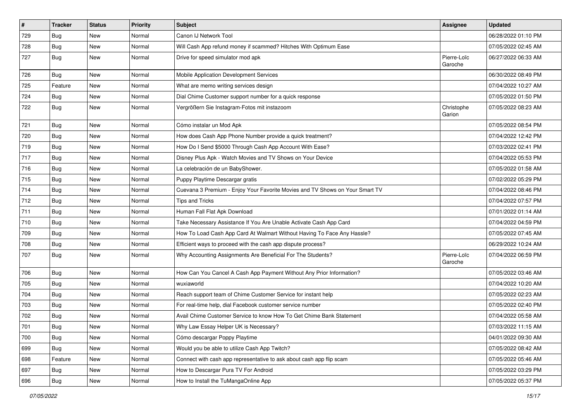| $\vert$ # | <b>Tracker</b> | <b>Status</b> | <b>Priority</b> | Subject                                                                      | <b>Assignee</b>        | <b>Updated</b>      |
|-----------|----------------|---------------|-----------------|------------------------------------------------------------------------------|------------------------|---------------------|
| 729       | Bug            | New           | Normal          | Canon IJ Network Tool                                                        |                        | 06/28/2022 01:10 PM |
| 728       | Bug            | New           | Normal          | Will Cash App refund money if scammed? Hitches With Optimum Ease             |                        | 07/05/2022 02:45 AM |
| 727       | <b>Bug</b>     | New           | Normal          | Drive for speed simulator mod apk                                            | Pierre-Loïc<br>Garoche | 06/27/2022 06:33 AM |
| 726       | Bug            | New           | Normal          | Mobile Application Development Services                                      |                        | 06/30/2022 08:49 PM |
| 725       | Feature        | New           | Normal          | What are memo writing services design                                        |                        | 07/04/2022 10:27 AM |
| 724       | <b>Bug</b>     | New           | Normal          | Dial Chime Customer support number for a quick response                      |                        | 07/05/2022 01:50 PM |
| 722       | Bug            | New           | Normal          | Vergrößern Sie Instagram-Fotos mit instazoom                                 | Christophe<br>Garion   | 07/05/2022 08:23 AM |
| 721       | <b>Bug</b>     | New           | Normal          | Cómo instalar un Mod Apk                                                     |                        | 07/05/2022 08:54 PM |
| 720       | Bug            | New           | Normal          | How does Cash App Phone Number provide a quick treatment?                    |                        | 07/04/2022 12:42 PM |
| 719       | <b>Bug</b>     | New           | Normal          | How Do I Send \$5000 Through Cash App Account With Ease?                     |                        | 07/03/2022 02:41 PM |
| 717       | Bug            | New           | Normal          | Disney Plus Apk - Watch Movies and TV Shows on Your Device                   |                        | 07/04/2022 05:53 PM |
| 716       | <b>Bug</b>     | New           | Normal          | La celebración de un BabyShower.                                             |                        | 07/05/2022 01:58 AM |
| 715       | <b>Bug</b>     | New           | Normal          | Puppy Playtime Descargar gratis                                              |                        | 07/02/2022 05:29 PM |
| 714       | <b>Bug</b>     | New           | Normal          | Cuevana 3 Premium - Enjoy Your Favorite Movies and TV Shows on Your Smart TV |                        | 07/04/2022 08:46 PM |
| 712       | <b>Bug</b>     | New           | Normal          | <b>Tips and Tricks</b>                                                       |                        | 07/04/2022 07:57 PM |
| 711       | Bug            | New           | Normal          | Human Fall Flat Apk Download                                                 |                        | 07/01/2022 01:14 AM |
| 710       | <b>Bug</b>     | New           | Normal          | Take Necessary Assistance If You Are Unable Activate Cash App Card           |                        | 07/04/2022 04:59 PM |
| 709       | <b>Bug</b>     | New           | Normal          | How To Load Cash App Card At Walmart Without Having To Face Any Hassle?      |                        | 07/05/2022 07:45 AM |
| 708       | Bug            | New           | Normal          | Efficient ways to proceed with the cash app dispute process?                 |                        | 06/29/2022 10:24 AM |
| 707       | <b>Bug</b>     | New           | Normal          | Why Accounting Assignments Are Beneficial For The Students?                  | Pierre-Loïc<br>Garoche | 07/04/2022 06:59 PM |
| 706       | <b>Bug</b>     | New           | Normal          | How Can You Cancel A Cash App Payment Without Any Prior Information?         |                        | 07/05/2022 03:46 AM |
| 705       | <b>Bug</b>     | New           | Normal          | wuxiaworld                                                                   |                        | 07/04/2022 10:20 AM |
| 704       | <b>Bug</b>     | New           | Normal          | Reach support team of Chime Customer Service for instant help                |                        | 07/05/2022 02:23 AM |
| 703       | Bug            | New           | Normal          | For real-time help, dial Facebook customer service number                    |                        | 07/05/2022 02:40 PM |
| 702       | <b>Bug</b>     | New           | Normal          | Avail Chime Customer Service to know How To Get Chime Bank Statement         |                        | 07/04/2022 05:58 AM |
| 701       | Bug            | New           | Normal          | Why Law Essay Helper UK is Necessary?                                        |                        | 07/03/2022 11:15 AM |
| 700       | <b>Bug</b>     | New           | Normal          | Cómo descargar Poppy Playtime                                                |                        | 04/01/2022 09:30 AM |
| 699       | Bug            | New           | Normal          | Would you be able to utilize Cash App Twitch?                                |                        | 07/05/2022 08:42 AM |
| 698       | Feature        | New           | Normal          | Connect with cash app representative to ask about cash app flip scam         |                        | 07/05/2022 05:46 AM |
| 697       | Bug            | New           | Normal          | How to Descargar Pura TV For Android                                         |                        | 07/05/2022 03:29 PM |
| 696       | <b>Bug</b>     | New           | Normal          | How to Install the TuMangaOnline App                                         |                        | 07/05/2022 05:37 PM |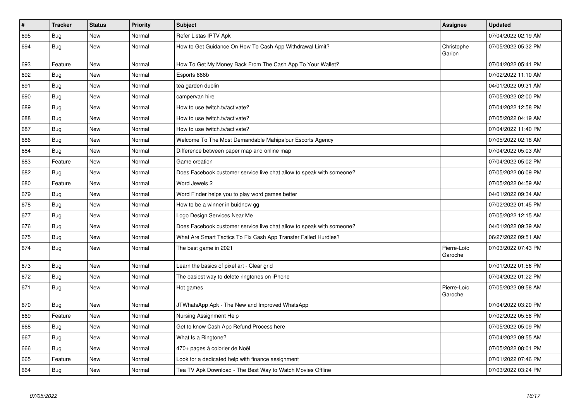| $\sharp$ | <b>Tracker</b> | <b>Status</b> | <b>Priority</b> | <b>Subject</b>                                                        | Assignee               | <b>Updated</b>      |
|----------|----------------|---------------|-----------------|-----------------------------------------------------------------------|------------------------|---------------------|
| 695      | Bug            | New           | Normal          | Refer Listas IPTV Apk                                                 |                        | 07/04/2022 02:19 AM |
| 694      | Bug            | New           | Normal          | How to Get Guidance On How To Cash App Withdrawal Limit?              | Christophe<br>Garion   | 07/05/2022 05:32 PM |
| 693      | Feature        | New           | Normal          | How To Get My Money Back From The Cash App To Your Wallet?            |                        | 07/04/2022 05:41 PM |
| 692      | Bug            | <b>New</b>    | Normal          | Esports 888b                                                          |                        | 07/02/2022 11:10 AM |
| 691      | Bug            | New           | Normal          | tea garden dublin                                                     |                        | 04/01/2022 09:31 AM |
| 690      | Bug            | New           | Normal          | campervan hire                                                        |                        | 07/05/2022 02:00 PM |
| 689      | <b>Bug</b>     | New           | Normal          | How to use twitch.tv/activate?                                        |                        | 07/04/2022 12:58 PM |
| 688      | <b>Bug</b>     | <b>New</b>    | Normal          | How to use twitch.tv/activate?                                        |                        | 07/05/2022 04:19 AM |
| 687      | <b>Bug</b>     | <b>New</b>    | Normal          | How to use twitch.tv/activate?                                        |                        | 07/04/2022 11:40 PM |
| 686      | Bug            | New           | Normal          | Welcome To The Most Demandable Mahipalpur Escorts Agency              |                        | 07/05/2022 02:18 AM |
| 684      | <b>Bug</b>     | New           | Normal          | Difference between paper map and online map                           |                        | 07/04/2022 05:03 AM |
| 683      | Feature        | <b>New</b>    | Normal          | Game creation                                                         |                        | 07/04/2022 05:02 PM |
| 682      | Bug            | New           | Normal          | Does Facebook customer service live chat allow to speak with someone? |                        | 07/05/2022 06:09 PM |
| 680      | Feature        | New           | Normal          | Word Jewels 2                                                         |                        | 07/05/2022 04:59 AM |
| 679      | <b>Bug</b>     | New           | Normal          | Word Finder helps you to play word games better                       |                        | 04/01/2022 09:34 AM |
| 678      | <b>Bug</b>     | New           | Normal          | How to be a winner in buidnow gg                                      |                        | 07/02/2022 01:45 PM |
| 677      | Bug            | New           | Normal          | Logo Design Services Near Me                                          |                        | 07/05/2022 12:15 AM |
| 676      | Bug            | New           | Normal          | Does Facebook customer service live chat allow to speak with someone? |                        | 04/01/2022 09:39 AM |
| 675      | <b>Bug</b>     | <b>New</b>    | Normal          | What Are Smart Tactics To Fix Cash App Transfer Failed Hurdles?       |                        | 06/27/2022 09:51 AM |
| 674      | Bug            | New           | Normal          | The best game in 2021                                                 | Pierre-Loïc<br>Garoche | 07/03/2022 07:43 PM |
| 673      | Bug            | New           | Normal          | Learn the basics of pixel art - Clear grid                            |                        | 07/01/2022 01:56 PM |
| 672      | Bug            | New           | Normal          | The easiest way to delete ringtones on iPhone                         |                        | 07/04/2022 01:22 PM |
| 671      | Bug            | New           | Normal          | Hot games                                                             | Pierre-Loïc<br>Garoche | 07/05/2022 09:58 AM |
| 670      | Bug            | New           | Normal          | JTWhatsApp Apk - The New and Improved WhatsApp                        |                        | 07/04/2022 03:20 PM |
| 669      | Feature        | New           | Normal          | Nursing Assignment Help                                               |                        | 07/02/2022 05:58 PM |
| 668      | <b>Bug</b>     | <b>New</b>    | Normal          | Get to know Cash App Refund Process here                              |                        | 07/05/2022 05:09 PM |
| 667      | Bug            | New           | Normal          | What Is a Ringtone?                                                   |                        | 07/04/2022 09:55 AM |
| 666      | Bug            | <b>New</b>    | Normal          | 470+ pages à colorier de Noël                                         |                        | 07/05/2022 08:01 PM |
| 665      | Feature        | New           | Normal          | Look for a dedicated help with finance assignment                     |                        | 07/01/2022 07:46 PM |
| 664      | <b>Bug</b>     | New           | Normal          | Tea TV Apk Download - The Best Way to Watch Movies Offline            |                        | 07/03/2022 03:24 PM |